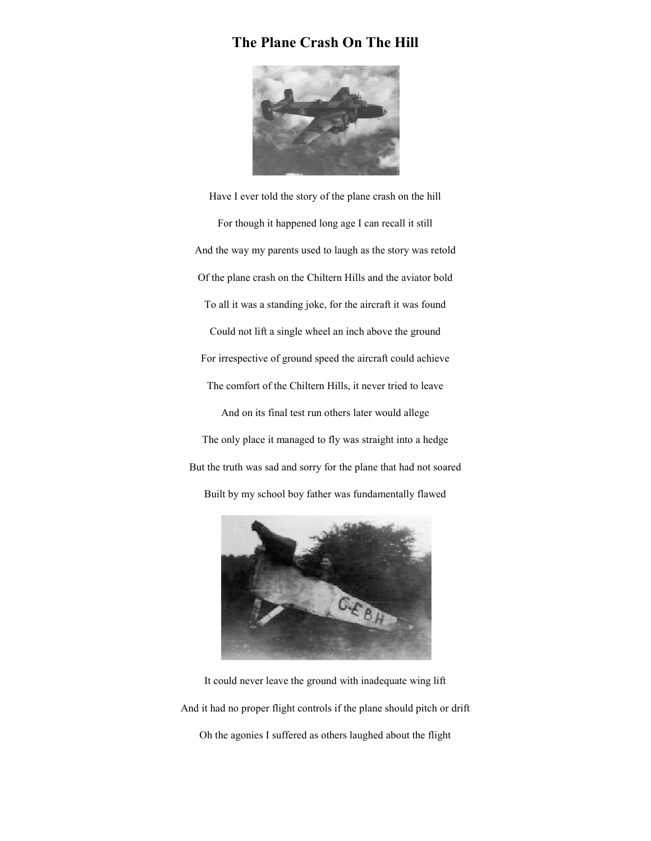## **The Plane Crash On The Hill**



Have I ever told the story of the plane crash on the hill For though it happened long age I can recall it still And the way my parents used to laugh as the story was retold Of the plane crash on the Chiltern Hills and the aviator bold To all it was a standing joke, for the aircraft it was found Could not lift a single wheel an inch above the ground For irrespective of ground speed the aircraft could achieve The comfort of the Chiltern Hills, it never tried to leave And on its final test run others later would allege The only place it managed to fly was straight into a hedge But the truth was sad and sorry for the plane that had not soared Built by my school boy father was fundamentally flawed



It could never leave the ground with inadequate wing lift And it had no proper flight controls if the plane should pitch or drift Oh the agonies I suffered as others laughed about the flight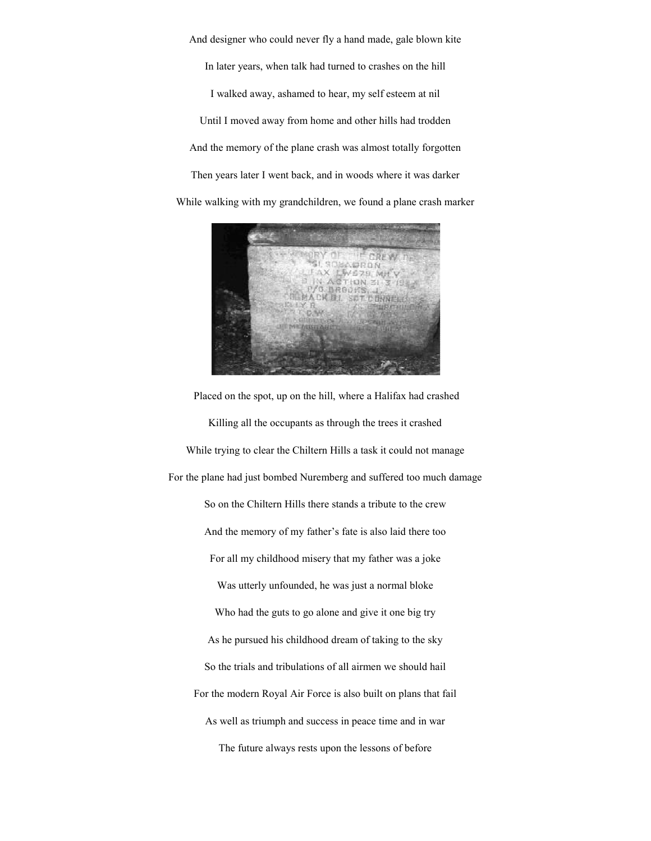And designer who could never fly a hand made, gale blown kite In later years, when talk had turned to crashes on the hill I walked away, ashamed to hear, my self esteem at nil Until I moved away from home and other hills had trodden And the memory of the plane crash was almost totally forgotten Then years later I went back, and in woods where it was darker While walking with my grandchildren, we found a plane crash marker



 Placed on the spot, up on the hill, where a Halifax had crashed Killing all the occupants as through the trees it crashed While trying to clear the Chiltern Hills a task it could not manage For the plane had just bombed Nuremberg and suffered too much damage So on the Chiltern Hills there stands a tribute to the crew And the memory of my father's fate is also laid there too For all my childhood misery that my father was a joke Was utterly unfounded, he was just a normal bloke Who had the guts to go alone and give it one big try As he pursued his childhood dream of taking to the sky So the trials and tribulations of all airmen we should hail For the modern Royal Air Force is also built on plans that fail As well as triumph and success in peace time and in war The future always rests upon the lessons of before